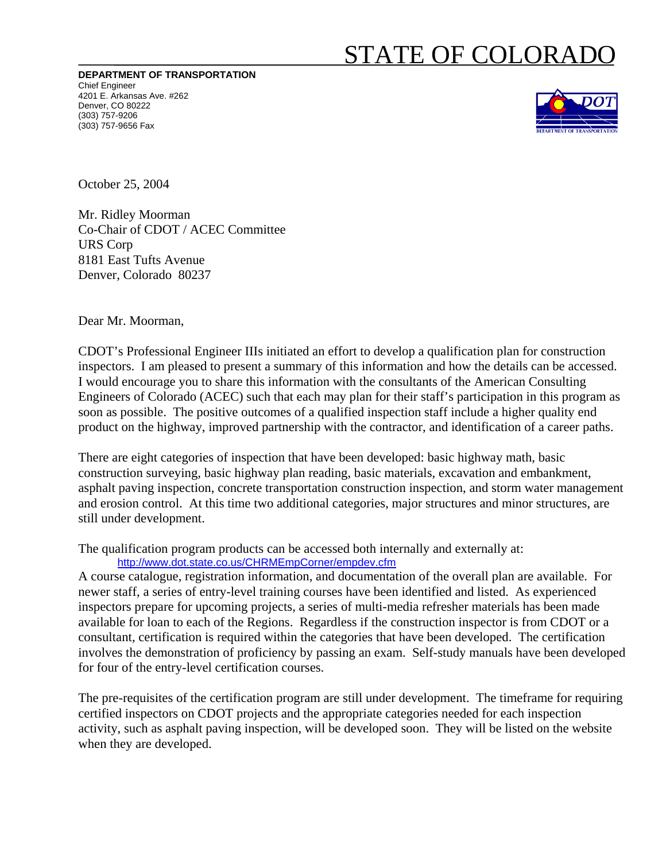## STATE OF COLORADO

**DEPARTMENT OF TRANSPORTATION** Chief Engineer 4201 E. Arkansas Ave. #262 Denver, CO 80222 (303) 757-9206 (303) 757-9656 Fax



October 25, 2004

Mr. Ridley Moorman Co-Chair of CDOT / ACEC Committee URS Corp 8181 East Tufts Avenue Denver, Colorado 80237

Dear Mr. Moorman,

CDOT's Professional Engineer IIIs initiated an effort to develop a qualification plan for construction inspectors. I am pleased to present a summary of this information and how the details can be accessed. I would encourage you to share this information with the consultants of the American Consulting Engineers of Colorado (ACEC) such that each may plan for their staff's participation in this program as soon as possible. The positive outcomes of a qualified inspection staff include a higher quality end product on the highway, improved partnership with the contractor, and identification of a career paths.

There are eight categories of inspection that have been developed: basic highway math, basic construction surveying, basic highway plan reading, basic materials, excavation and embankment, asphalt paving inspection, concrete transportation construction inspection, and storm water management and erosion control. At this time two additional categories, major structures and minor structures, are still under development.

The qualification program products can be accessed both internally and externally at: <http://www.dot.state.co.us/CHRMEmpCorner/empdev.cfm>

A course catalogue, registration information, and documentation of the overall plan are available. For newer staff, a series of entry-level training courses have been identified and listed. As experienced inspectors prepare for upcoming projects, a series of multi-media refresher materials has been made available for loan to each of the Regions. Regardless if the construction inspector is from CDOT or a consultant, certification is required within the categories that have been developed. The certification involves the demonstration of proficiency by passing an exam. Self-study manuals have been developed for four of the entry-level certification courses.

The pre-requisites of the certification program are still under development. The timeframe for requiring certified inspectors on CDOT projects and the appropriate categories needed for each inspection activity, such as asphalt paving inspection, will be developed soon. They will be listed on the website when they are developed.